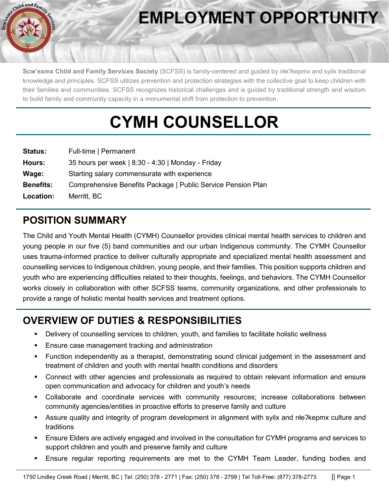

# **EMPLOYMENT OPPORTUNITY**

**Scw'exmx Child and Family Services Society** (SCFSS) is family-centered and guided by nłeʔkepmx and syilx traditional knowledge and principles. SCFSS utilizes prevention and protection strategies with the collective goal to keep children with their families and communities. SCFSS recognizes historical challenges and is guided by traditional strength and wisdom to build family and community capacity in a monumental shift from protection to prevention.

# **CYMH COUNSELLOR**

| <b>Status:</b>   | Full-time   Permanent                                        |
|------------------|--------------------------------------------------------------|
| Hours:           | 35 hours per week   8:30 - 4:30   Monday - Friday            |
| Wage:            | Starting salary commensurate with experience                 |
| <b>Benefits:</b> | Comprehensive Benefits Package   Public Service Pension Plan |
| Location:        | Merritt, BC                                                  |

## **POSITION SUMMARY**

The Child and Youth Mental Health (CYMH) Counsellor provides clinical mental health services to children and young people in our five (5) band communities and our urban Indigenous community. The CYMH Counsellor uses trauma-informed practice to deliver culturally appropriate and specialized mental health assessment and counselling services to Indigenous children, young people, and their families. This position supports children and youth who are experiencing difficulties related to their thoughts, feelings, and behaviors. The CYMH Counsellor works closely in collaboration with other SCFSS teams, community organizations, and other professionals to provide a range of holistic mental health services and treatment options.

# **OVERVIEW OF DUTIES & RESPONSIBILITIES**

- Delivery of counselling services to children, youth, and families to facilitate holistic wellness
- Ensure case management tracking and administration
- Function independently as a therapist, demonstrating sound clinical judgement in the assessment and treatment of children and youth with mental health conditions and disorders
- Connect with other agencies and professionals as required to obtain relevant information and ensure open communication and advocacy for children and youth's needs
- Collaborate and coordinate services with community resources; increase collaborations between community agencies/entities in proactive efforts to preserve family and culture
- Assure quality and integrity of program development in alignment with syilx and nłeʔkepmx culture and traditions
- Ensure Elders are actively engaged and involved in the consultation for CYMH programs and services to support children and youth and preserve family and culture
- Ensure regular reporting requirements are met to the CYMH Team Leader, funding bodies and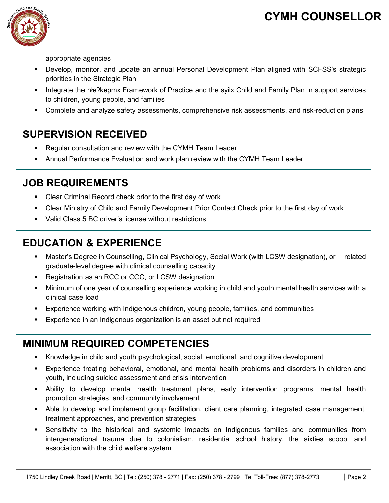# **CYMH COUNSELLOR**



appropriate agencies

- Develop, monitor, and update an annual Personal Development Plan aligned with SCFSS's strategic priorities in the Strategic Plan
- Integrate the nłe?kepmx Framework of Practice and the syilx Child and Family Plan in support services to children, young people, and families
- Complete and analyze safety assessments, comprehensive risk assessments, and risk-reduction plans

### **SUPERVISION RECEIVED**

- Regular consultation and review with the CYMH Team Leader
- Annual Performance Evaluation and work plan review with the CYMH Team Leader

#### **JOB REQUIREMENTS**

- Clear Criminal Record check prior to the first day of work
- Clear Ministry of Child and Family Development Prior Contact Check prior to the first day of work
- Valid Class 5 BC driver's license without restrictions

### **EDUCATION & EXPERIENCE**

- Master's Degree in Counselling, Clinical Psychology, Social Work (with LCSW designation), or related graduate-level degree with clinical counselling capacity
- Registration as an RCC or CCC, or LCSW designation
- Minimum of one year of counselling experience working in child and youth mental health services with a clinical case load
- Experience working with Indigenous children, young people, families, and communities
- Experience in an Indigenous organization is an asset but not required

#### **MINIMUM REQUIRED COMPETENCIES**

- Knowledge in child and youth psychological, social, emotional, and cognitive development
- Experience treating behavioral, emotional, and mental health problems and disorders in children and youth, including suicide assessment and crisis intervention
- Ability to develop mental health treatment plans, early intervention programs, mental health promotion strategies, and community involvement
- Able to develop and implement group facilitation, client care planning, integrated case management, treatment approaches, and prevention strategies
- Sensitivity to the historical and systemic impacts on Indigenous families and communities from intergenerational trauma due to colonialism, residential school history, the sixties scoop, and association with the child welfare system